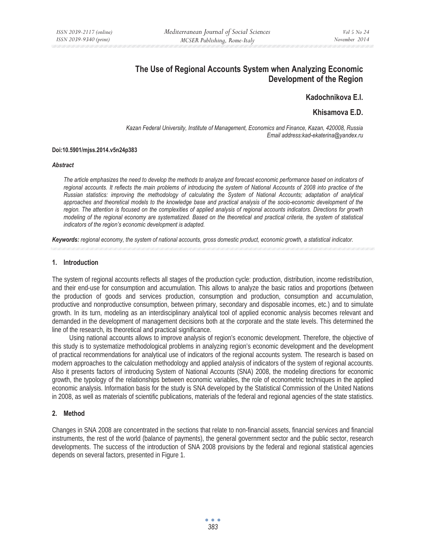# **The Use of Regional Accounts System when Analyzing Economic Development of the Region**

## **Kadochnikova E.I.**

# **Khisamova E.D.**

*Kazan Federal University, Institute of Management, Economics and Finance, Kazan, 420008, Russia Email address:kad-ekaterina@yandex.ru* 

#### **Doi:10.5901/mjss.2014.v5n24p383**

#### *Abstract*

*The article emphasizes the need to develop the methods to analyze and forecast economic performance based on indicators of*  regional accounts. It reflects the main problems of introducing the system of National Accounts of 2008 into practice of the *Russian statistics: improving the methodology of calculating the System of National Accounts; adaptation of analytical approaches and theoretical models to the knowledge base and practical analysis of the socio-economic development of the region. The attention is focused on the complexities of applied analysis of regional accounts indicators. Directions for growth modeling of the regional economy are systematized. Based on the theoretical and practical criteria, the system of statistical indicators of the region's economic development is adapted.* 

*Keywords: regional economy, the system of national accounts, gross domestic product, economic growth, a statistical indicator.* 

### **1. Introduction**

The system of regional accounts reflects all stages of the production cycle: production, distribution, income redistribution, and their end-use for consumption and accumulation. This allows to analyze the basic ratios and proportions (between the production of goods and services production, consumption and production, consumption and accumulation, productive and nonproductive consumption, between primary, secondary and disposable incomes, etc.) and to simulate growth. In its turn, modeling as an interdisciplinary analytical tool of applied economic analysis becomes relevant and demanded in the development of management decisions both at the corporate and the state levels. This determined the line of the research, its theoretical and practical significance.

Using national accounts allows to improve analysis of region's economic development. Therefore, the objective of this study is to systematize methodological problems in analyzing region's economic development and the development of practical recommendations for analytical use of indicators of the regional accounts system. The research is based on modern approaches to the calculation methodology and applied analysis of indicators of the system of regional accounts. Also it presents factors of introducing System of National Accounts (SNA) 2008, the modeling directions for economic growth, the typology of the relationships between economic variables, the role of econometric techniques in the applied economic analysis. Information basis for the study is SNA developed by the Statistical Commission of the United Nations in 2008, as well as materials of scientific publications, materials of the federal and regional agencies of the state statistics.

### **2. Method**

Changes in SNA 2008 are concentrated in the sections that relate to non-financial assets, financial services and financial instruments, the rest of the world (balance of payments), the general government sector and the public sector, research developments. The success of the introduction of SNA 2008 provisions by the federal and regional statistical agencies depends on several factors, presented in Figure 1.

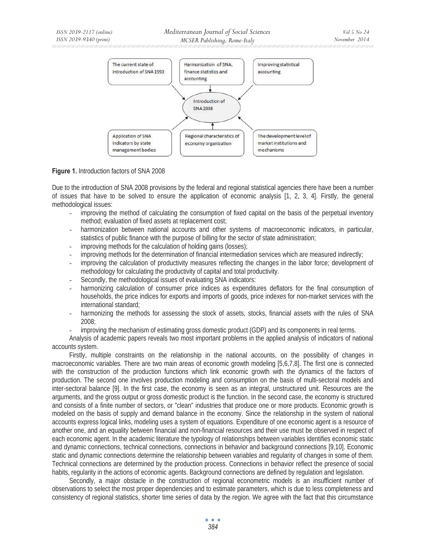

### **Figure 1.** Introduction factors of SNA 2008

Due to the introduction of SNA 2008 provisions by the federal and regional statistical agencies there have been a number of issues that have to be solved to ensure the application of economic analysis [1, 2, 3, 4]. Firstly, the general methodological issues:

- improving the method of calculating the consumption of fixed capital on the basis of the perpetual inventory method; evaluation of fixed assets at replacement cost;
- harmonization between national accounts and other systems of macroeconomic indicators, in particular, statistics of public finance with the purpose of billing for the sector of state administration;
- improving methods for the calculation of holding gains (losses);
- improving methods for the determination of financial intermediation services which are measured indirectly;
- improving the calculation of productivity measures reflecting the changes in the labor force; development of methodology for calculating the productivity of capital and total productivity.
- Secondly, the methodological issues of evaluating SNA indicators:
- harmonizing calculation of consumer price indices as expenditures deflators for the final consumption of households, the price indices for exports and imports of goods, price indexes for non-market services with the international standard;
- harmonizing the methods for assessing the stock of assets, stocks, financial assets with the rules of SNA 2008;
- improving the mechanism of estimating gross domestic product (GDP) and its components in real terms.

Analysis of academic papers reveals two most important problems in the applied analysis of indicators of national accounts system.

Firstly, multiple constraints on the relationship in the national accounts, on the possibility of changes in macroeconomic variables. There are two main areas of economic growth modeling [5,6,7,8]. The first one is connected with the construction of the production functions which link economic growth with the dynamics of the factors of production. The second one involves production modeling and consumption on the basis of multi-sectoral models and inter-sectoral balance [9]. In the first case, the economy is seen as an integral, unstructured unit. Resources are the arguments, and the gross output or gross domestic product is the function. In the second case, the economy is structured and consists of a finite number of sectors, or "clean" industries that produce one or more products. Economic growth is modeled on the basis of supply and demand balance in the economy. Since the relationship in the system of national accounts express logical links, modeling uses a system of equations. Expenditure of one economic agent is a resource of another one, and an equality between financial and non-financial resources and their use must be observed in respect of each economic agent. In the academic literature the typology of relationships between variables identifies economic static and dynamic connections, technical connections, connections in behavior and background connections [9,10]. Economic static and dynamic connections determine the relationship between variables and regularity of changes in some of them. Technical connections are determined by the production process. Connections in behavior reflect the presence of social habits, regularity in the actions of economic agents. Background connections are defined by regulation and legislation.

Secondly, a major obstacle in the construction of regional econometric models is an insufficient number of observations to select the most proper dependencies and to estimate parameters, which is due to less completeness and consistency of regional statistics, shorter time series of data by the region. We agree with the fact that this circumstance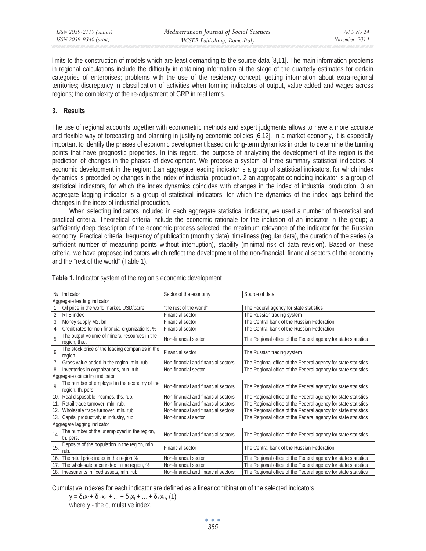limits to the construction of models which are least demanding to the source data [8,11]. The main information problems in regional calculations include the difficulty in obtaining information at the stage of the quarterly estimates for certain categories of enterprises; problems with the use of the residency concept, getting information about extra-regional territories; discrepancy in classification of activities when forming indicators of output, value added and wages across regions; the complexity of the re-adjustment of GRP in real terms.

### **3. Results**

The use of regional accounts together with econometric methods and expert judgments allows to have a more accurate and flexible way of forecasting and planning in justifying economic policies [6,12]. In a market economy, it is especially important to identify the phases of economic development based on long-term dynamics in order to determine the turning points that have prognostic properties. In this regard, the purpose of analyzing the development of the region is the prediction of changes in the phases of development. We propose a system of three summary statistical indicators of economic development in the region: 1.an aggregate leading indicator is a group of statistical indicators, for which index dynamics is preceded by changes in the index of industrial production. 2 an aggregate coinciding indicator is a group of statistical indicators, for which the index dynamics coincides with changes in the index of industrial production. 3 an aggregate lagging indicator is a group of statistical indicators, for which the dynamics of the index lags behind the changes in the index of industrial production.

When selecting indicators included in each aggregate statistical indicator, we used a number of theoretical and practical criteria. Theoretical criteria include the economic rationale for the inclusion of an indicator in the group; a sufficiently deep description of the economic process selected; the maximum relevance of the indicator for the Russian economy. Practical criteria: frequency of publication (monthly data), timeliness (regular data), the duration of the series (a sufficient number of measuring points without interruption), stability (minimal risk of data revision). Based on these criteria, we have proposed indicators which reflect the development of the non-financial, financial sectors of the economy and the "rest of the world" (Table 1).

|                                | Nº Indicator                                                      | Sector of the economy               | Source of data                                                 |  |
|--------------------------------|-------------------------------------------------------------------|-------------------------------------|----------------------------------------------------------------|--|
| Aggregate leading indicator    |                                                                   |                                     |                                                                |  |
|                                | Oil price in the world market, USD/barrel                         | "the rest of the world"             | The Federal agency for state statistics                        |  |
| $\overline{2}$ .               | RTS index                                                         | <b>Financial sector</b>             | The Russian trading system                                     |  |
| 3.                             | Money supply M2, bn                                               | <b>Financial sector</b>             | The Central bank of the Russian Federation                     |  |
| 4.                             | Credit rates for non-financial organizations, %                   | Financial sector                    | The Central bank of the Russian Federation                     |  |
| 5.                             | The output volume of mineral resources in the<br>region, ths.t    | Non-financial sector                | The Regional office of the Federal agency for state statistics |  |
| 6.                             | The stock price of the leading companies in the<br>region         | <b>Financial sector</b>             | The Russian trading system                                     |  |
|                                | Gross value added in the region, mln. rub.                        | Non-financial and financial sectors | The Regional office of the Federal agency for state statistics |  |
| 8.                             | Inventories in organizations, mln. rub.                           | Non-financial sector                | The Regional office of the Federal agency for state statistics |  |
| Aggregate coinciding indicator |                                                                   |                                     |                                                                |  |
| 9                              | The number of employed in the economy of the<br>region, th. pers. | Non-financial and financial sectors | The Regional office of the Federal agency for state statistics |  |
| 10.                            | Real disposable incomes, ths. rub.                                | Non-financial and financial sectors | The Regional office of the Federal agency for state statistics |  |
| 11.                            | Retail trade turnover, mln. rub.                                  | Non-financial and financial sectors | The Regional office of the Federal agency for state statistics |  |
| 12.                            | Wholesale trade turnover, mln. rub.                               | Non-financial and financial sectors | The Regional office of the Federal agency for state statistics |  |
| 13.                            | Capital productivity in industry, rub.                            | Non-financial sector                | The Regional office of the Federal agency for state statistics |  |
| Aggregate lagging indicator    |                                                                   |                                     |                                                                |  |
| 14.                            | The number of the unemployed in the region,<br>th. pers.          | Non-financial and financial sectors | The Regional office of the Federal agency for state statistics |  |
| 15.                            | Deposits of the population in the region, mln.<br>rub.            | <b>Financial sector</b>             | The Central bank of the Russian Federation                     |  |
| 16.                            | The retail price index in the region,%                            | Non-financial sector                | The Regional office of the Federal agency for state statistics |  |
| 17.1                           | The wholesale price index in the region, %                        | Non-financial sector                | The Regional office of the Federal agency for state statistics |  |
|                                | 18. Investments in fixed assets, mln. rub.                        | Non-financial and financial sectors | The Regional office of the Federal agency for state statistics |  |

**Table 1.** Indicator system of the region's economic development

Cumulative indexes for each indicator are defined as a linear combination of the selected indicators:

$$
y = \delta_1 x_1 + \delta_2 x_2 + ... + \delta_j x_j + ... + \delta_n x_n
$$
 (1)

where y - the cumulative index,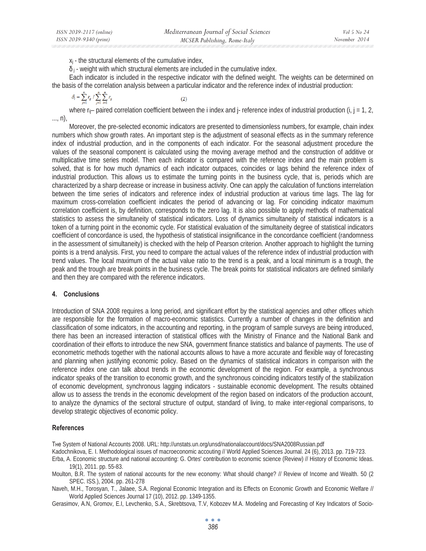$x_i$  - the structural elements of the cumulative index,

 $\delta_i$  - weight with which structural elements are included in the cumulative index.

Each indicator is included in the respective indicator with the defined weight. The weights can be determined on the basis of the correlation analysis between a particular indicator and the reference index of industrial production:

$$
\delta_i = \sum_{j=1}^n r_{ij} / \sum_{j=1}^n \sum_{i=1}^n r_{ij}
$$

where  $r_{ij}$ – paired correlation coefficient between the i index and j- reference index of industrial production (i, j = 1, 2, ..., n),

Moreover, the pre-selected economic indicators are presented to dimensionless numbers, for example, chain index numbers which show growth rates. An important step is the adjustment of seasonal effects as in the summary reference index of industrial production, and in the components of each indicator. For the seasonal adjustment procedure the values of the seasonal component is calculated using the moving average method and the construction of additive or multiplicative time series model. Then each indicator is compared with the reference index and the main problem is solved, that is for how much dynamics of each indicator outpaces, coincides or lags behind the reference index of industrial production. This allows us to estimate the turning points in the business cycle, that is, periods which are characterized by a sharp decrease or increase in business activity. One can apply the calculation of functions interrelation between the time series of indicators and reference index of industrial production at various time lags. The lag for maximum cross-correlation coefficient indicates the period of advancing or lag. For coinciding indicator maximum correlation coefficient is, by definition, corresponds to the zero lag. It is also possible to apply methods of mathematical statistics to assess the simultaneity of statistical indicators. Loss of dynamics simultaneity of statistical indicators is a token of a turning point in the economic cycle. For statistical evaluation of the simultaneity degree of statistical indicators coefficient of concordance is used, the hypothesis of statistical insignificance in the concordance coefficient (randomness in the assessment of simultaneity) is checked with the help of Pearson criterion. Another approach to highlight the turning points is a trend analysis. First, you need to compare the actual values of the reference index of industrial production with trend values. The local maximum of the actual value ratio to the trend is a peak, and a local minimum is a trough, the peak and the trough are break points in the business cycle. The break points for statistical indicators are defined similarly and then they are compared with the reference indicators.

#### **4. Conclusions**

Introduction of SNA 2008 requires a long period, and significant effort by the statistical agencies and other offices which are responsible for the formation of macro-economic statistics. Currently a number of changes in the definition and classification of some indicators, in the accounting and reporting, in the program of sample surveys are being introduced, there has been an increased interaction of statistical offices with the Ministry of Finance and the National Bank and coordination of their efforts to introduce the new SNA, government finance statistics and balance of payments. The use of econometric methods together with the national accounts allows to have a more accurate and flexible way of forecasting and planning when justifying economic policy. Based on the dynamics of statistical indicators in comparison with the reference index one can talk about trends in the economic development of the region. For example, a synchronous indicator speaks of the transition to economic growth, and the synchronous coinciding indicators testify of the stabilization of economic development, synchronous lagging indicators - sustainable economic development. The results obtained allow us to assess the trends in the economic development of the region based on indicators of the production account, to analyze the dynamics of the sectoral structure of output, standard of living, to make inter-regional comparisons, to develop strategic objectives of economic policy.

#### **References**

The System of National Accounts 2008. URL: http://unstats.un.org/unsd/nationalaccount/docs/SNA2008Russian.pdf

Kadochnikova, E. I. Methodological issues of macroeconomic accouting // World Applied Sciences Journal. 24 (6), 2013. pp. 719-723.

Erba, A. Economic structure and national accounting: G. Ortes' contribution to economic science (Review) // History of Economic Ideas. 19(1), 2011. pp. 55-83.

Moulton, B.R. The system of national accounts for the new economy: What should change? // Review of Income and Wealth. 50 (2 SPEC. ISS.), 2004. pp. 261-278

Naveh, M.H., Torosyan, T., Jalaee, S.A. Regional Economic Integration and its Effects on Economic Growth and Economic Welfare // World Applied Sciences Journal 17 (10), 2012. pp. 1349-1355.

Gerasimov, Ⱥ.N, Gromov, E.I, Levchenko, S.A., Skrebtsova, T.V, Kobozev M.A. Modeling and Forecasting of Key Indicators of Socio-